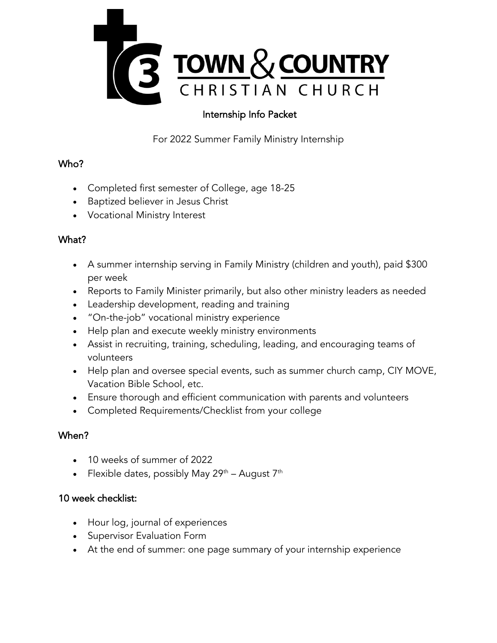

# Internship Info Packet

For 2022 Summer Family Ministry Internship

## Who?

- Completed first semester of College, age 18-25
- Baptized believer in Jesus Christ
- Vocational Ministry Interest

# What?

- A summer internship serving in Family Ministry (children and youth), paid \$300 per week
- Reports to Family Minister primarily, but also other ministry leaders as needed
- Leadership development, reading and training
- "On-the-job" vocational ministry experience
- Help plan and execute weekly ministry environments
- Assist in recruiting, training, scheduling, leading, and encouraging teams of volunteers
- Help plan and oversee special events, such as summer church camp, CIY MOVE, Vacation Bible School, etc.
- Ensure thorough and efficient communication with parents and volunteers
- Completed Requirements/Checklist from your college

# When?

- 10 weeks of summer of 2022
- Flexible dates, possibly May 29<sup>th</sup> August 7<sup>th</sup>

## 10 week checklist:

- Hour log, journal of experiences
- Supervisor Evaluation Form
- At the end of summer: one page summary of your internship experience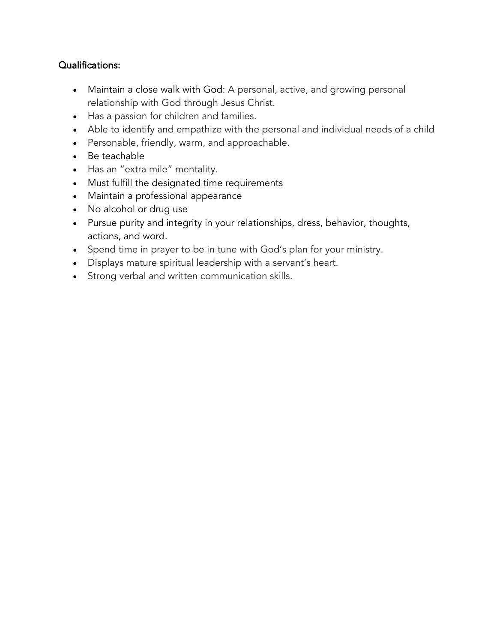## Qualifications:

- Maintain a close walk with God: A personal, active, and growing personal relationship with God through Jesus Christ.
- Has a passion for children and families.
- Able to identify and empathize with the personal and individual needs of a child
- Personable, friendly, warm, and approachable.
- Be teachable
- Has an "extra mile" mentality.
- Must fulfill the designated time requirements
- Maintain a professional appearance
- No alcohol or drug use
- Pursue purity and integrity in your relationships, dress, behavior, thoughts, actions, and word.
- Spend time in prayer to be in tune with God's plan for your ministry.
- Displays mature spiritual leadership with a servant's heart.
- Strong verbal and written communication skills.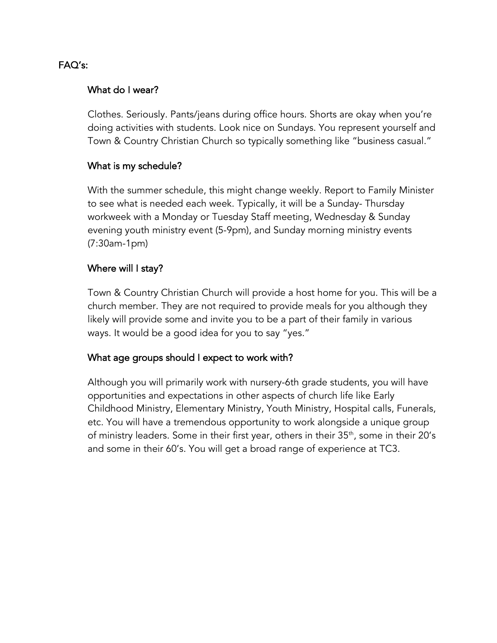### FAQ's:

#### What do I wear?

Clothes. Seriously. Pants/jeans during office hours. Shorts are okay when you're doing activities with students. Look nice on Sundays. You represent yourself and Town & Country Christian Church so typically something like "business casual."

#### What is my schedule?

With the summer schedule, this might change weekly. Report to Family Minister to see what is needed each week. Typically, it will be a Sunday- Thursday workweek with a Monday or Tuesday Staff meeting, Wednesday & Sunday evening youth ministry event (5-9pm), and Sunday morning ministry events (7:30am-1pm)

#### Where will I stay?

Town & Country Christian Church will provide a host home for you. This will be a church member. They are not required to provide meals for you although they likely will provide some and invite you to be a part of their family in various ways. It would be a good idea for you to say "yes."

#### What age groups should I expect to work with?

Although you will primarily work with nursery-6th grade students, you will have opportunities and expectations in other aspects of church life like Early Childhood Ministry, Elementary Ministry, Youth Ministry, Hospital calls, Funerals, etc. You will have a tremendous opportunity to work alongside a unique group of ministry leaders. Some in their first year, others in their 35<sup>th</sup>, some in their 20's and some in their 60's. You will get a broad range of experience at TC3.